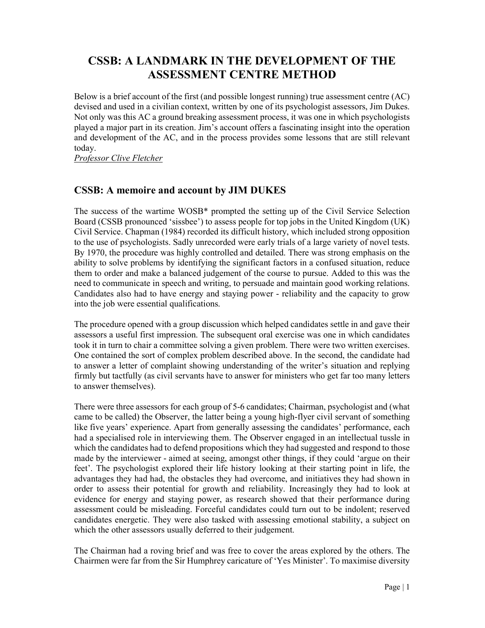## CSSB: A LANDMARK IN THE DEVELOPMENT OF THE ASSESSMENT CENTRE METHOD

Below is a brief account of the first (and possible longest running) true assessment centre (AC) devised and used in a civilian context, written by one of its psychologist assessors, Jim Dukes. Not only was this AC a ground breaking assessment process, it was one in which psychologists played a major part in its creation. Jim's account offers a fascinating insight into the operation and development of the AC, and in the process provides some lessons that are still relevant today.

Professor Clive Fletcher

## CSSB: A memoire and account by JIM DUKES

The success of the wartime WOSB\* prompted the setting up of the Civil Service Selection Board (CSSB pronounced 'sissbee') to assess people for top jobs in the United Kingdom (UK) Civil Service. Chapman (1984) recorded its difficult history, which included strong opposition to the use of psychologists. Sadly unrecorded were early trials of a large variety of novel tests. By 1970, the procedure was highly controlled and detailed. There was strong emphasis on the ability to solve problems by identifying the significant factors in a confused situation, reduce them to order and make a balanced judgement of the course to pursue. Added to this was the need to communicate in speech and writing, to persuade and maintain good working relations. Candidates also had to have energy and staying power - reliability and the capacity to grow into the job were essential qualifications.

The procedure opened with a group discussion which helped candidates settle in and gave their assessors a useful first impression. The subsequent oral exercise was one in which candidates took it in turn to chair a committee solving a given problem. There were two written exercises. One contained the sort of complex problem described above. In the second, the candidate had to answer a letter of complaint showing understanding of the writer's situation and replying firmly but tactfully (as civil servants have to answer for ministers who get far too many letters to answer themselves).

There were three assessors for each group of 5-6 candidates; Chairman, psychologist and (what came to be called) the Observer, the latter being a young high-flyer civil servant of something like five years' experience. Apart from generally assessing the candidates' performance, each had a specialised role in interviewing them. The Observer engaged in an intellectual tussle in which the candidates had to defend propositions which they had suggested and respond to those made by the interviewer - aimed at seeing, amongst other things, if they could 'argue on their feet'. The psychologist explored their life history looking at their starting point in life, the advantages they had had, the obstacles they had overcome, and initiatives they had shown in order to assess their potential for growth and reliability. Increasingly they had to look at evidence for energy and staying power, as research showed that their performance during assessment could be misleading. Forceful candidates could turn out to be indolent; reserved candidates energetic. They were also tasked with assessing emotional stability, a subject on which the other assessors usually deferred to their judgement.

The Chairman had a roving brief and was free to cover the areas explored by the others. The Chairmen were far from the Sir Humphrey caricature of 'Yes Minister'. To maximise diversity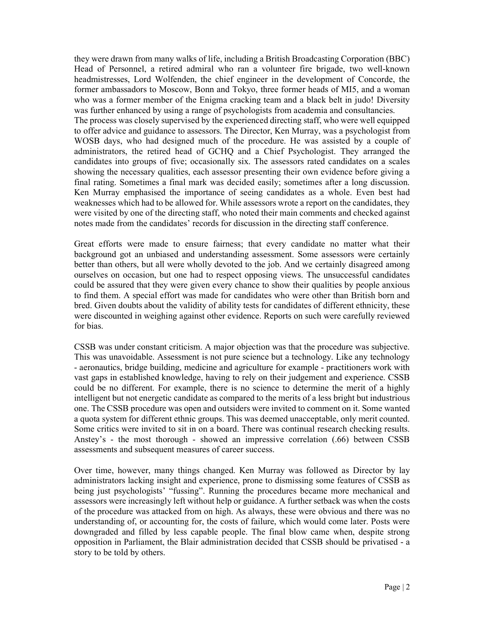they were drawn from many walks of life, including a British Broadcasting Corporation (BBC) Head of Personnel, a retired admiral who ran a volunteer fire brigade, two well-known headmistresses, Lord Wolfenden, the chief engineer in the development of Concorde, the former ambassadors to Moscow, Bonn and Tokyo, three former heads of MI5, and a woman who was a former member of the Enigma cracking team and a black belt in judo! Diversity was further enhanced by using a range of psychologists from academia and consultancies. The process was closely supervised by the experienced directing staff, who were well equipped to offer advice and guidance to assessors. The Director, Ken Murray, was a psychologist from WOSB days, who had designed much of the procedure. He was assisted by a couple of administrators, the retired head of GCHQ and a Chief Psychologist. They arranged the candidates into groups of five; occasionally six. The assessors rated candidates on a scales showing the necessary qualities, each assessor presenting their own evidence before giving a final rating. Sometimes a final mark was decided easily; sometimes after a long discussion. Ken Murray emphasised the importance of seeing candidates as a whole. Even best had weaknesses which had to be allowed for. While assessors wrote a report on the candidates, they were visited by one of the directing staff, who noted their main comments and checked against notes made from the candidates' records for discussion in the directing staff conference.

Great efforts were made to ensure fairness; that every candidate no matter what their background got an unbiased and understanding assessment. Some assessors were certainly better than others, but all were wholly devoted to the job. And we certainly disagreed among ourselves on occasion, but one had to respect opposing views. The unsuccessful candidates could be assured that they were given every chance to show their qualities by people anxious to find them. A special effort was made for candidates who were other than British born and bred. Given doubts about the validity of ability tests for candidates of different ethnicity, these were discounted in weighing against other evidence. Reports on such were carefully reviewed for bias.

CSSB was under constant criticism. A major objection was that the procedure was subjective. This was unavoidable. Assessment is not pure science but a technology. Like any technology - aeronautics, bridge building, medicine and agriculture for example - practitioners work with vast gaps in established knowledge, having to rely on their judgement and experience. CSSB could be no different. For example, there is no science to determine the merit of a highly intelligent but not energetic candidate as compared to the merits of a less bright but industrious one. The CSSB procedure was open and outsiders were invited to comment on it. Some wanted a quota system for different ethnic groups. This was deemed unacceptable, only merit counted. Some critics were invited to sit in on a board. There was continual research checking results. Anstey's - the most thorough - showed an impressive correlation (.66) between CSSB assessments and subsequent measures of career success.

Over time, however, many things changed. Ken Murray was followed as Director by lay administrators lacking insight and experience, prone to dismissing some features of CSSB as being just psychologists' "fussing". Running the procedures became more mechanical and assessors were increasingly left without help or guidance. A further setback was when the costs of the procedure was attacked from on high. As always, these were obvious and there was no understanding of, or accounting for, the costs of failure, which would come later. Posts were downgraded and filled by less capable people. The final blow came when, despite strong opposition in Parliament, the Blair administration decided that CSSB should be privatised - a story to be told by others.